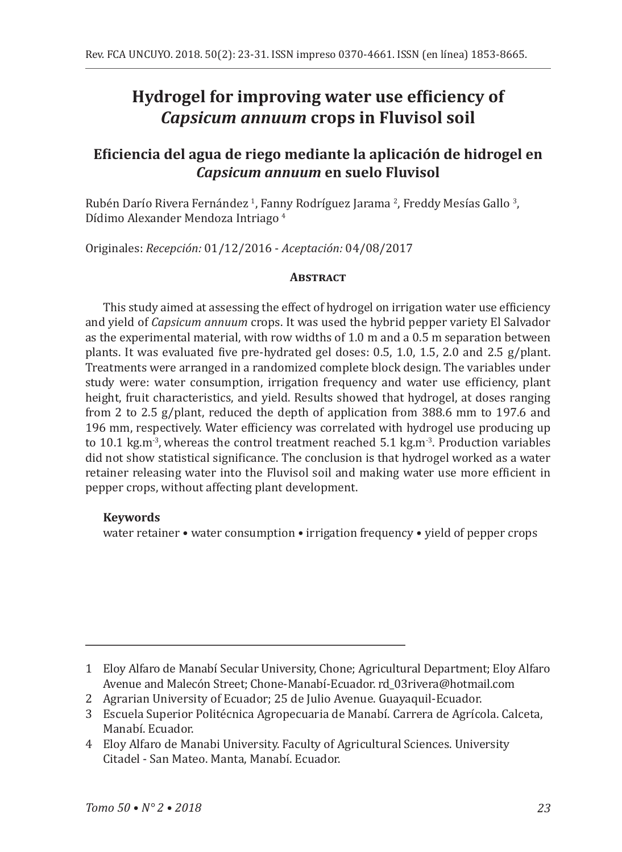# **Hydrogel for improving water use efficiency of** *Capsicum annuum* **crops in Fluvisol soil**

## **Eficiencia del agua de riego mediante la aplicación de hidrogel en**  *Capsicum annuum* **en suelo Fluvisol**

Rubén Darío Rivera Fernández <sup>I</sup>, Fanny Rodríguez Jarama <sup>2</sup>, Freddy Mesías Gallo <sup>3</sup>, Dídimo Alexander Mendoza Intriago <sup>4</sup>

Originales: *Recepción:* 01/12/2016 - *Aceptación:* 04/08/2017

## **Abstract**

This study aimed at assessing the effect of hydrogel on irrigation water use efficiency and yield of *Capsicum annuum* crops. It was used the hybrid pepper variety El Salvador as the experimental material, with row widths of 1.0 m and a 0.5 m separation between plants. It was evaluated five pre-hydrated gel doses: 0.5, 1.0, 1.5, 2.0 and 2.5 g/plant. Treatments were arranged in a randomized complete block design. The variables under study were: water consumption, irrigation frequency and water use efficiency, plant height, fruit characteristics, and yield. Results showed that hydrogel, at doses ranging from 2 to 2.5 g/plant, reduced the depth of application from 388.6 mm to 197.6 and 196 mm, respectively. Water efficiency was correlated with hydrogel use producing up to 10.1 kg.m<sup>-3</sup>, whereas the control treatment reached 5.1 kg.m<sup>-3</sup>. Production variables did not show statistical significance. The conclusion is that hydrogel worked as a water retainer releasing water into the Fluvisol soil and making water use more efficient in pepper crops, without affecting plant development.

## **Keywords**

water retainer • water consumption • irrigation frequency • yield of pepper crops

- 2 Agrarian University of Ecuador; 25 de Julio Avenue. Guayaquil-Ecuador.
- 3 Escuela Superior Politécnica Agropecuaria de Manabí. Carrera de Agrícola. Calceta, Manabí. Ecuador.
- 4 Eloy Alfaro de Manabi University. Faculty of Agricultural Sciences. University Citadel - San Mateo. Manta, Manabí. Ecuador.

<sup>1</sup> Eloy Alfaro de Manabí Secular University, Chone; Agricultural Department; Eloy Alfaro Avenue and Malecón Street; Chone-Manabí-Ecuador. rd\_03rivera@hotmail.com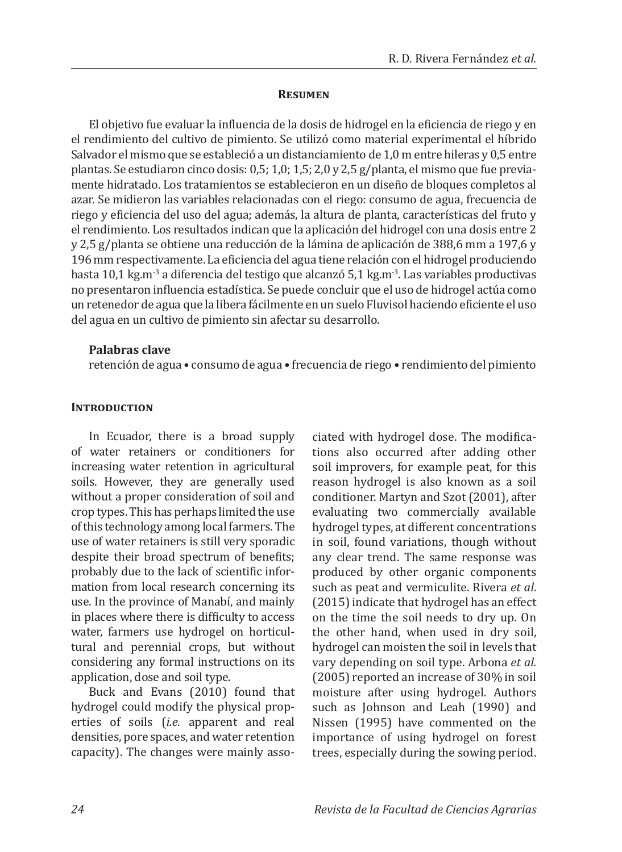#### **Resumen**

El objetivo fue evaluar la influencia de la dosis de hidrogel en la eficiencia de riego y en el rendimiento del cultivo de pimiento. Se utilizó como material experimental el híbrido Salvador el mismo que se estableció a un distanciamiento de 1,0 m entre hileras y 0,5 entre plantas. Se estudiaron cinco dosis: 0,5; 1,0; 1,5; 2,0 y 2,5 g/planta, el mismo que fue previamente hidratado. Los tratamientos se establecieron en un diseño de bloques completos al azar. Se midieron las variables relacionadas con el riego: consumo de agua, frecuencia de riego y eficiencia del uso del agua; además, la altura de planta, características del fruto y el rendimiento. Los resultados indican que la aplicación del hidrogel con una dosis entre 2 y 2,5 g/planta se obtiene una reducción de la lámina de aplicación de 388,6 mm a 197,6 y 196 mm respectivamente. La eficiencia del agua tiene relación con el hidrogel produciendo hasta 10,1 kg.m<sup>-3</sup> a diferencia del testigo que alcanzó 5,1 kg.m<sup>-3</sup>. Las variables productivas no presentaron influencia estadística. Se puede concluir que el uso de hidrogel actúa como un retenedor de agua que la libera fácilmente en un suelo Fluvisol haciendo eficiente el uso del agua en un cultivo de pimiento sin afectar su desarrollo.

#### **Palabras clave**

retención de agua • consumo de agua • frecuencia de riego • rendimiento del pimiento

#### **INTRODUCTION**

In Ecuador, there is a broad supply of water retainers or conditioners for increasing water retention in agricultural soils. However, they are generally used without a proper consideration of soil and crop types. This has perhaps limited the use of this technology among local farmers. The use of water retainers is still very sporadic despite their broad spectrum of benefits; probably due to the lack of scientific information from local research concerning its use. In the province of Manabí, and mainly in places where there is difficulty to access water, farmers use hydrogel on horticultural and perennial crops, but without considering any formal instructions on its application, dose and soil type.

Buck and Evans (2010) found that hydrogel could modify the physical properties of soils (*i.e.* apparent and real densities, pore spaces, and water retention capacity). The changes were mainly associated with hydrogel dose. The modifications also occurred after adding other soil improvers, for example peat, for this reason hydrogel is also known as a soil conditioner. Martyn and Szot (2001), after evaluating two commercially available hydrogel types, at different concentrations in soil, found variations, though without any clear trend. The same response was produced by other organic components such as peat and vermiculite. Rivera *et al*. (2015) indicate that hydrogel has an effect on the time the soil needs to dry up. On the other hand, when used in dry soil, hydrogel can moisten the soil in levels that vary depending on soil type. Arbona *et al.* (2005) reported an increase of 30% in soil moisture after using hydrogel. Authors such as Johnson and Leah (1990) and Nissen (1995) have commented on the importance of using hydrogel on forest trees, especially during the sowing period.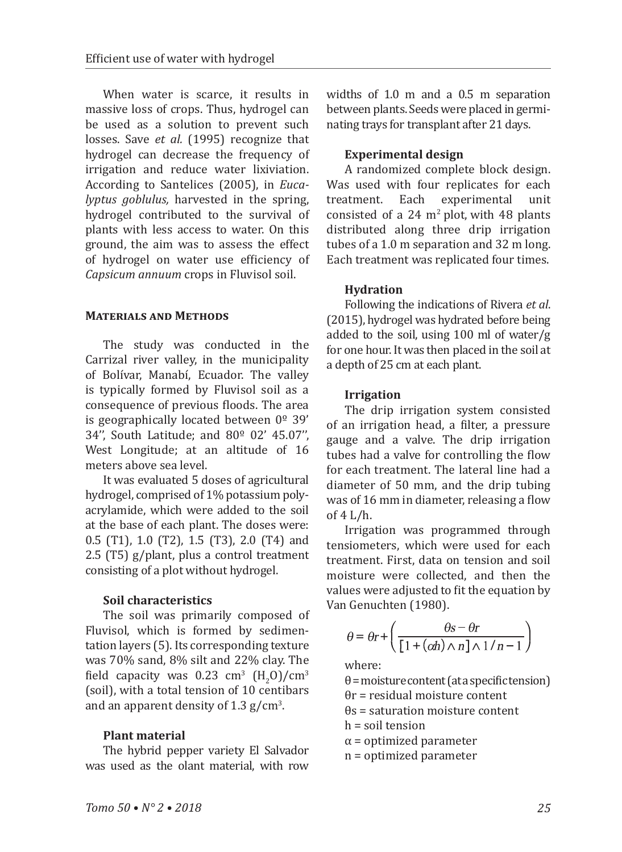When water is scarce, it results in massive loss of crops. Thus, hydrogel can be used as a solution to prevent such losses. Save *et al.* (1995) recognize that hydrogel can decrease the frequency of irrigation and reduce water lixiviation. According to Santelices (2005), in *Eucalyptus goblulus*, harvested in the spring, hydrogel contributed to the survival of plants with less access to water. On this ground, the aim was to assess the effect of hydrogel on water use efficiency of *Capsicum annuum* crops in Fluvisol soil.

## **Materials and Methods**

The study was conducted in the Carrizal river valley, in the municipality of Bolívar, Manabí, Ecuador. The valley is typically formed by Fluvisol soil as a consequence of previous floods. The area is geographically located between  $0^{\circ}$  39' 34'', South Latitude; and 80º 02' 45.07'', West Longitude; at an altitude of 16 meters above sea level.

It was evaluated 5 doses of agricultural hydrogel, comprised of 1% potassium polyacrylamide, which were added to the soil at the base of each plant. The doses were: 0.5 (T1), 1.0 (T2), 1.5 (T3), 2.0 (T4) and 2.5 (T5) g/plant, plus a control treatment consisting of a plot without hydrogel.

## **Soil characteristics**

The soil was primarily composed of Fluvisol, which is formed by sedimentation layers (5). Its corresponding texture was 70% sand, 8% silt and 22% clay. The field capacity was  $0.23 \text{ cm}^3 \text{ (H}_2\text{O})/\text{cm}^3$ (soil), with a total tension of 10 centibars and an apparent density of  $1.3 \text{ g/cm}^3$ .

## **Plant material**

The hybrid pepper variety El Salvador was used as the olant material, with row

widths of 1.0 m and a 0.5 m separation between plants. Seeds were placed in germinating trays for transplant after 21 days.

## **Experimental design**

A randomized complete block design. Was used with four replicates for each<br>treatment. Each experimental unit Each experimental consisted of a  $24 \text{ m}^2$  plot, with  $48$  plants distributed along three drip irrigation tubes of a 1.0 m separation and 32 m long. Each treatment was replicated four times.

## **Hydration**

Following the indications of Rivera *et al*. (2015), hydrogel was hydrated before being added to the soil, using 100 ml of water/g for one hour. It was then placed in the soil at a depth of 25 cm at each plant.

## **Irrigation**

The drip irrigation system consisted of an irrigation head, a filter, a pressure gauge and a valve. The drip irrigation tubes had a valve for controlling the flow for each treatment. The lateral line had a diameter of 50 mm, and the drip tubing was of 16 mm in diameter, releasing a flow of 4 L/h.

Irrigation was programmed through tensiometers, which were used for each treatment. First, data on tension and soil moisture were collected, and then the values were adjusted to fit the equation by Van Genuchten (1980).

$$
\theta = \theta r + \left(\frac{\theta s - \theta r}{\left[1 + (\alpha h) \wedge n\right] \wedge 1/n - 1}\right)
$$

where:

 $\theta$  = moisture content (at a specific tension) θr = residual moisture content θs = saturation moisture content h = soil tension

 $\alpha$  = optimized parameter

n = optimized parameter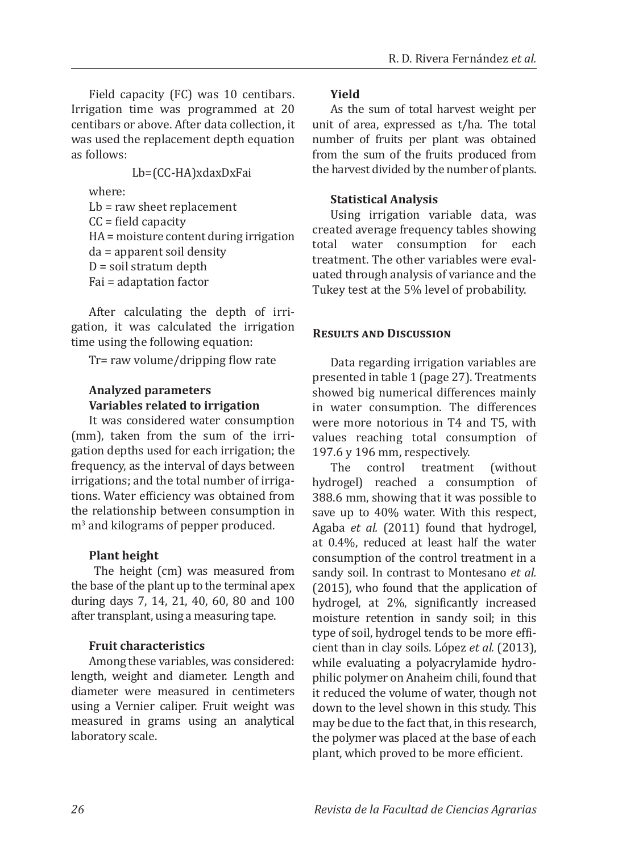Field capacity (FC) was 10 centibars. Irrigation time was programmed at 20 centibars or above. After data collection, it was used the replacement depth equation as follows:

Lb=(CC-HA)xdaxDxFai

where: Lb = raw sheet replacement  $CC = field capacity$ HA = moisture content during irrigation da = apparent soil density  $D =$  soil stratum depth Fai = adaptation factor

After calculating the depth of irrigation, it was calculated the irrigation time using the following equation:

Tr= raw volume/dripping flow rate

## **Analyzed parameters Variables related to irrigation**

It was considered water consumption (mm), taken from the sum of the irrigation depths used for each irrigation; the frequency, as the interval of days between irrigations; and the total number of irrigations. Water efficiency was obtained from the relationship between consumption in m<sup>3</sup> and kilograms of pepper produced.

## **Plant height**

 The height (cm) was measured from the base of the plant up to the terminal apex during days 7, 14, 21, 40, 60, 80 and 100 after transplant, using a measuring tape.

## **Fruit characteristics**

Among these variables, was considered: length, weight and diameter. Length and diameter were measured in centimeters using a Vernier caliper. Fruit weight was measured in grams using an analytical laboratory scale.

#### **Yield**

As the sum of total harvest weight per unit of area, expressed as t/ha. The total number of fruits per plant was obtained from the sum of the fruits produced from the harvest divided by the number of plants.

#### **Statistical Analysis**

Using irrigation variable data, was created average frequency tables showing total water consumption for each treatment. The other variables were evaluated through analysis of variance and the Tukey test at the 5% level of probability.

#### **Results and Discussion**

Data regarding irrigation variables are presented in table 1 (page 27). Treatments showed big numerical differences mainly in water consumption. The differences were more notorious in T4 and T5, with values reaching total consumption of 197.6 y 196 mm, respectively.

The control treatment (without hydrogel) reached a consumption of 388.6 mm, showing that it was possible to save up to 40% water. With this respect, Agaba *et al.* (2011) found that hydrogel, at 0.4%, reduced at least half the water consumption of the control treatment in a sandy soil. In contrast to Montesano *et al.* (2015), who found that the application of hydrogel, at 2%, significantly increased moisture retention in sandy soil; in this type of soil, hydrogel tends to be more efficient than in clay soils. López *et al.* (2013), while evaluating a polyacrylamide hydrophilic polymer on Anaheim chili, found that it reduced the volume of water, though not down to the level shown in this study. This may be due to the fact that, in this research, the polymer was placed at the base of each plant, which proved to be more efficient.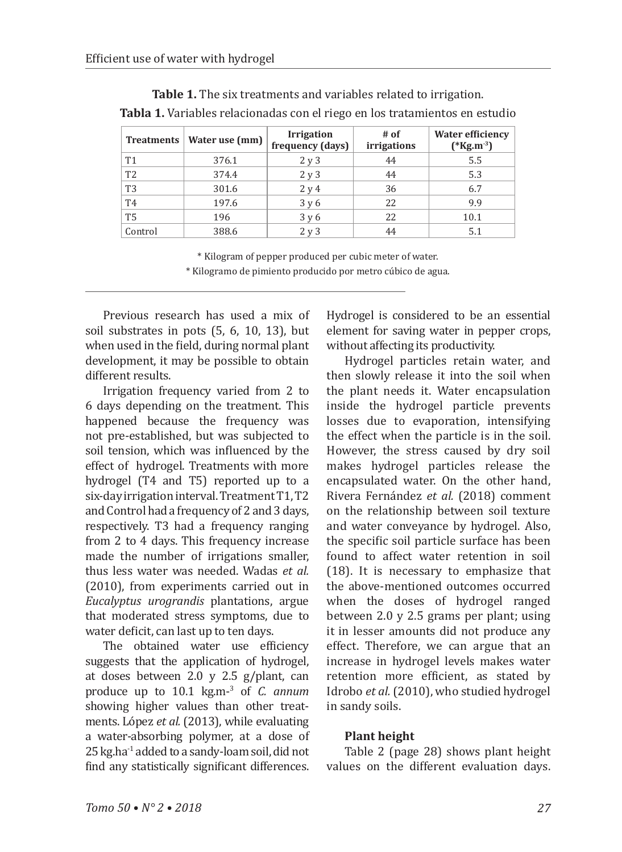| <b>Treatments</b> | Water use (mm) | <b>Irrigation</b><br>frequency (days) | # of<br><i>irrigations</i> | <b>Water efficiency</b><br>$(*kg.m^{-3})$ |
|-------------------|----------------|---------------------------------------|----------------------------|-------------------------------------------|
| T <sub>1</sub>    | 376.1          | 2y3                                   | 44                         | 5.5                                       |
| T <sub>2</sub>    | 374.4          | 2y3                                   | 44                         | 5.3                                       |
| T <sub>3</sub>    | 301.6          | 2y4                                   | 36                         | 6.7                                       |
| T <sub>4</sub>    | 197.6          | 3 y 6                                 | 22                         | 9.9                                       |
| T <sub>5</sub>    | 196            | 3y6                                   | 22                         | 10.1                                      |
| Control           | 388.6          | 2 y 3                                 | 44                         | 5.1                                       |

**Table 1.** The six treatments and variables related to irrigation. **Tabla 1.** Variables relacionadas con el riego en los tratamientos en estudio

> \* Kilogram of pepper produced per cubic meter of water. \* Kilogramo de pimiento producido por metro cúbico de agua.

Previous research has used a mix of soil substrates in pots (5, 6, 10, 13), but when used in the field, during normal plant development, it may be possible to obtain different results.

Irrigation frequency varied from 2 to 6 days depending on the treatment. This happened because the frequency was not pre-established, but was subjected to soil tension, which was influenced by the effect of hydrogel. Treatments with more hydrogel (T4 and T5) reported up to a six-day irrigation interval. Treatment T1, T2 and Control had a frequency of 2 and 3 days, respectively. T3 had a frequency ranging from 2 to 4 days. This frequency increase made the number of irrigations smaller, thus less water was needed. Wadas *et al.* (2010), from experiments carried out in *Eucalyptus urograndis* plantations, argue that moderated stress symptoms, due to water deficit, can last up to ten days.

The obtained water use efficiency suggests that the application of hydrogel, at doses between 2.0 y 2.5 g/plant, can produce up to 10.1 kg.m-<sup>3</sup> of *C. annum*  showing higher values than other treatments. López *et al.* (2013), while evaluating a water-absorbing polymer, at a dose of 25kg.ha-1 added to a sandy-loam soil, did not find any statistically significant differences.

Hydrogel is considered to be an essential element for saving water in pepper crops, without affecting its productivity.

Hydrogel particles retain water, and then slowly release it into the soil when the plant needs it. Water encapsulation inside the hydrogel particle prevents losses due to evaporation, intensifying the effect when the particle is in the soil. However, the stress caused by dry soil makes hydrogel particles release the encapsulated water. On the other hand, Rivera Fernández *et al.* (2018) comment on the relationship between soil texture and water conveyance by hydrogel. Also, the specific soil particle surface has been found to affect water retention in soil (18). It is necessary to emphasize that the above-mentioned outcomes occurred when the doses of hydrogel ranged between 2.0 y 2.5 grams per plant; using it in lesser amounts did not produce any effect. Therefore, we can argue that an increase in hydrogel levels makes water retention more efficient, as stated by Idrobo *et al.* (2010), who studied hydrogel in sandy soils.

## **Plant height**

Table 2 (page 28) shows plant height values on the different evaluation days.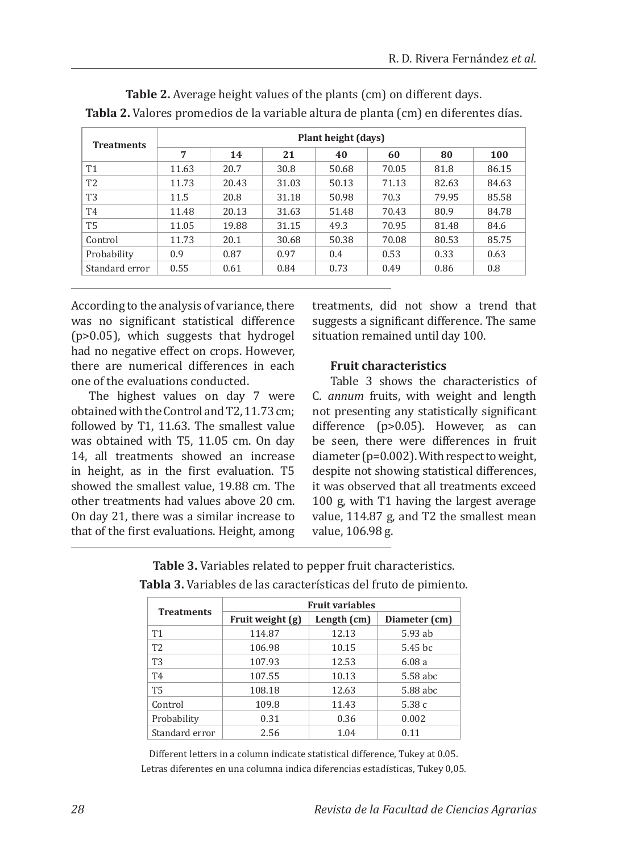| <b>Treatments</b> | Plant height (days) |       |       |       |       |       |       |
|-------------------|---------------------|-------|-------|-------|-------|-------|-------|
|                   | 7                   | 14    | 21    | 40    | 60    | 80    | 100   |
| <b>T1</b>         | 11.63               | 20.7  | 30.8  | 50.68 | 70.05 | 81.8  | 86.15 |
| T <sub>2</sub>    | 11.73               | 20.43 | 31.03 | 50.13 | 71.13 | 82.63 | 84.63 |
| T <sub>3</sub>    | 11.5                | 20.8  | 31.18 | 50.98 | 70.3  | 79.95 | 85.58 |
| T <sub>4</sub>    | 11.48               | 20.13 | 31.63 | 51.48 | 70.43 | 80.9  | 84.78 |
| <b>T5</b>         | 11.05               | 19.88 | 31.15 | 49.3  | 70.95 | 81.48 | 84.6  |
| Control           | 11.73               | 20.1  | 30.68 | 50.38 | 70.08 | 80.53 | 85.75 |
| Probability       | 0.9                 | 0.87  | 0.97  | 0.4   | 0.53  | 0.33  | 0.63  |
| Standard error    | 0.55                | 0.61  | 0.84  | 0.73  | 0.49  | 0.86  | 0.8   |

**Table 2.** Average height values of the plants (cm) on different days. **Tabla 2.** Valores promedios de la variable altura de planta (cm) en diferentes días.

According to the analysis of variance, there was no significant statistical difference (p>0.05), which suggests that hydrogel had no negative effect on crops. However, there are numerical differences in each one of the evaluations conducted.

The highest values on day 7 were obtained with the Control and T2, 11.73 cm; followed by T1, 11.63. The smallest value was obtained with T5, 11.05 cm. On day 14, all treatments showed an increase in height, as in the first evaluation. T5 showed the smallest value, 19.88 cm. The other treatments had values above 20 cm. On day 21, there was a similar increase to that of the first evaluations. Height, among treatments, did not show a trend that suggests a significant difference. The same situation remained until day 100.

## **Fruit characteristics**

Table 3 shows the characteristics of C*. annum* fruits, with weight and length not presenting any statistically significant difference (p>0.05). However, as can be seen, there were differences in fruit diameter (p=0.002). With respect to weight, despite not showing statistical differences, it was observed that all treatments exceed 100 g, with T1 having the largest average value, 114.87 g, and T2 the smallest mean value, 106.98 g.

|                   | <b>Fruit variables</b> |             |                    |  |  |
|-------------------|------------------------|-------------|--------------------|--|--|
| <b>Treatments</b> | Fruit weight (g)       | Length (cm) | Diameter (cm)      |  |  |
| T <sub>1</sub>    | 114.87                 | 12.13       | 5.93 ab            |  |  |
| T <sub>2</sub>    | 106.98                 | 10.15       | 5.45 <sub>bc</sub> |  |  |
| T <sub>3</sub>    | 107.93                 | 12.53       | 6.08a              |  |  |
| T <sub>4</sub>    | 107.55                 | 10.13       | 5.58 abc           |  |  |
| <b>T5</b>         | 108.18                 | 12.63       | 5.88 abc           |  |  |
| Control           | 109.8                  | 11.43       | 5.38c              |  |  |
| Probability       | 0.31                   | 0.36        | 0.002              |  |  |
| Standard error    | 2.56                   | 1.04        | 0.11               |  |  |

**Table 3.** Variables related to pepper fruit characteristics. **Tabla 3.** Variables de las características del fruto de pimiento.

Different letters in a column indicate statistical difference, Tukey at 0.05. Letras diferentes en una columna indica diferencias estadísticas, Tukey 0,05.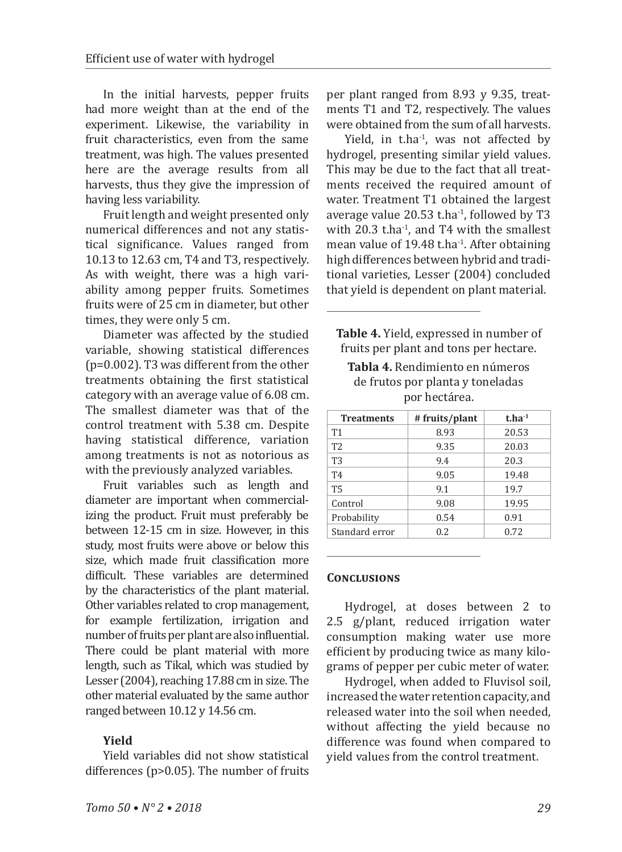In the initial harvests, pepper fruits had more weight than at the end of the experiment. Likewise, the variability in fruit characteristics, even from the same treatment, was high. The values presented here are the average results from all harvests, thus they give the impression of having less variability.

Fruit length and weight presented only numerical differences and not any statistical significance. Values ranged from 10.13 to 12.63 cm, T4 and T3, respectively. As with weight, there was a high variability among pepper fruits. Sometimes fruits were of 25 cm in diameter, but other times, they were only 5 cm.

Diameter was affected by the studied variable, showing statistical differences (p=0.002). T3 was different from the other treatments obtaining the first statistical category with an average value of 6.08 cm. The smallest diameter was that of the control treatment with 5.38 cm. Despite having statistical difference, variation among treatments is not as notorious as with the previously analyzed variables.

Fruit variables such as length and diameter are important when commercializing the product. Fruit must preferably be between 12-15 cm in size. However, in this study, most fruits were above or below this size, which made fruit classification more difficult. These variables are determined by the characteristics of the plant material. Other variables related to crop management, for example fertilization, irrigation and number of fruits per plant are also influential. There could be plant material with more length, such as Tikal, which was studied by Lesser (2004), reaching 17.88 cm in size. The other material evaluated by the same author ranged between 10.12 y 14.56 cm.

## **Yield**

Yield variables did not show statistical differences (p>0.05). The number of fruits per plant ranged from 8.93 y 9.35, treatments T1 and T2, respectively. The values were obtained from the sum of all harvests.

Yield, in t.ha<sup>-1</sup>, was not affected by hydrogel, presenting similar yield values. This may be due to the fact that all treatments received the required amount of water. Treatment T1 obtained the largest average value 20.53 t.ha-1, followed by T3 with 20.3 t.ha<sup>-1</sup>, and T4 with the smallest mean value of 19.48 t.ha<sup>-1</sup>. After obtaining high differences between hybrid and traditional varieties, Lesser (2004) concluded that yield is dependent on plant material.

**Table 4.** Yield, expressed in number of fruits per plant and tons per hectare.

**Tabla 4.** Rendimiento en números de frutos por planta y toneladas por hectárea.

| <b>Treatments</b> | # fruits/plant | $t.ha^{-1}$ |
|-------------------|----------------|-------------|
| T <sub>1</sub>    | 8.93           | 20.53       |
| T <sub>2</sub>    | 9.35           | 20.03       |
| T <sub>3</sub>    | 9.4            | 20.3        |
| T <sub>4</sub>    | 9.05           | 19.48       |
| <b>T5</b>         | 9.1            | 19.7        |
| Control           | 9.08           | 19.95       |
| Probability       | 0.54           | 0.91        |
| Standard error    | 0.2            | 0.72        |

## **Conclusions**

Hydrogel, at doses between 2 to 2.5 g/plant, reduced irrigation water consumption making water use more efficient by producing twice as many kilograms of pepper per cubic meter of water.

Hydrogel, when added to Fluvisol soil, increased the water retention capacity, and released water into the soil when needed, without affecting the yield because no difference was found when compared to yield values from the control treatment.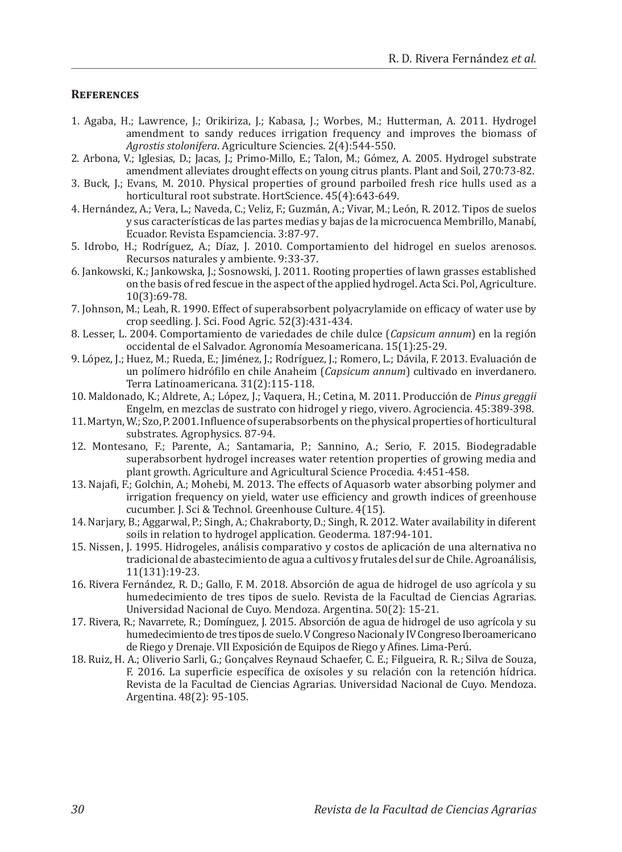#### **References**

- 1. Agaba, H.; Lawrence, J.; Orikiriza, J.; Kabasa, J.; Worbes, M.; Hutterman, A. 2011. Hydrogel amendment to sandy reduces irrigation frequency and improves the biomass of *Agrostis stolonifera*. Agriculture Sciencies. 2(4):544-550.
- 2. Arbona, V.; Iglesias, D.; Jacas, J.; Primo-Millo, E.; Talon, M.; Gómez, A. 2005. Hydrogel substrate amendment alleviates drought effects on young citrus plants. Plant and Soil, 270:73-82.
- 3. Buck, J.; Evans, M. 2010. Physical properties of ground parboiled fresh rice hulls used as a horticultural root substrate. HortScience. 45(4):643-649.
- 4. Hernández, A.; Vera, L.; Naveda, C.; Veliz, F.; Guzmán, A.; Vivar, M.; León, R. 2012. Tipos de suelos y sus características de las partes medias y bajas de la microcuenca Membrillo, Manabí, Ecuador. Revista Espamciencia. 3:87-97.
- 5. Idrobo, H.; Rodríguez, A.; Díaz, J. 2010. Comportamiento del hidrogel en suelos arenosos. Recursos naturales y ambiente. 9:33-37.
- 6. Jankowski, K.; Jankowska, J.; Sosnowski, J. 2011. Rooting properties of lawn grasses established on the basis of red fescue in the aspect of the applied hydrogel. Acta Sci. Pol, Agriculture. 10(3):69-78.
- 7. Johnson, M.; Leah, R. 1990. Effect of superabsorbent polyacrylamide on efficacy of water use by crop seedling. J. Sci. Food Agric. 52(3):431-434.
- 8. Lesser, L. 2004. Comportamiento de variedades de chile dulce (*Capsicum annum*) en la región occidental de el Salvador. Agronomía Mesoamericana. 15(1):25-29.
- 9. López, J.; Huez, M.; Rueda, E.; Jiménez, J.; Rodríguez, J.; Romero, L.; Dávila, F. 2013. Evaluación de un polímero hidrófilo en chile Anaheim (*Capsicum annum*) cultivado en inverdanero. Terra Latinoamericana. 31(2):115-118.
- 10. Maldonado, K.; Aldrete, A.; López, J.; Vaquera, H.; Cetina, M. 2011. Producción de *Pinus greggii*  Engelm, en mezclas de sustrato con hidrogel y riego, vivero. Agrociencia. 45:389-398.
- 11. Martyn, W.; Szo, P. 2001. Influence of superabsorbents on the physical properties of horticultural substrates. Agrophysics. 87-94.
- 12. Montesano, F.; Parente, A.; Santamaria, P.; Sannino, A.; Serio, F. 2015. Biodegradable superabsorbent hydrogel increases water retention properties of growing media and plant growth. Agriculture and Agricultural Science Procedia. 4:451-458.
- 13. Najafi, F.; Golchin, A.; Mohebi, M. 2013. The effects of Aquasorb water absorbing polymer and irrigation frequency on yield, water use efficiency and growth indices of greenhouse cucumber. J. Sci & Technol. Greenhouse Culture. 4(15).
- 14. Narjary, B.; Aggarwal, P.; Singh, A.; Chakraborty, D.; Singh, R. 2012. Water availability in diferent soils in relation to hydrogel application. Geoderma. 187:94-101.
- 15. Nissen, J. 1995. Hidrogeles, análisis comparativo y costos de aplicación de una alternativa no tradicional de abastecimiento de agua a cultivos y frutales del sur de Chile. Agroanálisis, 11(131):19-23.
- 16. Rivera Fernández, R. D.; Gallo, F. M. 2018. Absorción de agua de hidrogel de uso agrícola y su humedecimiento de tres tipos de suelo. Revista de la Facultad de Ciencias Agrarias. Universidad Nacional de Cuyo. Mendoza. Argentina. 50(2): 15-21.
- 17. Rivera, R.; Navarrete, R.; Domínguez, J. 2015. Absorción de agua de hidrogel de uso agrícola y su humedecimiento de tres tipos de suelo. V Congreso Nacional y IV Congreso Iberoamericano de Riego y Drenaje. VII Exposición de Equipos de Riego y Afines. Lima-Perú.
- 18. Ruiz, H. A.; Oliverio Sarli, G.; Gonçalves Reynaud Schaefer, C. E.; Filgueira, R. R.; Silva de Souza, F. 2016. La superficie específica de oxisoles y su relación con la retención hídrica. Revista de la Facultad de Ciencias Agrarias. Universidad Nacional de Cuyo. Mendoza. Argentina. 48(2): 95-105.